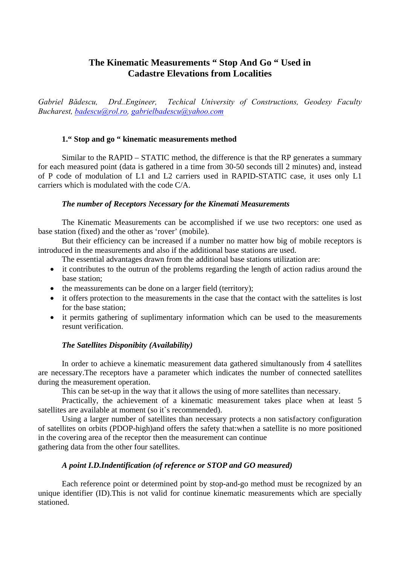# **The Kinematic Measurements " Stop And Go " Used in Cadastre Elevations from Localities**

*Gabriel Bădescu, Drd..Engineer, Techical University of Constructions, Geodesy Faculty Bucharest, badescu@rol.ro, gabrielbadescu@yahoo.com*

# **1." Stop and go " kinematic measurements method**

Similar to the RAPID – STATIC method, the difference is that the RP generates a summary for each measured point (data is gathered in a time from 30-50 seconds till 2 minutes) and, instead of P code of modulation of L1 and L2 carriers used in RAPID-STATIC case, it uses only L1 carriers which is modulated with the code C/A.

## *The number of Receptors Necessary for the Kinemati Measurements*

The Kinematic Measurements can be accomplished if we use two receptors: one used as base station (fixed) and the other as 'rover' (mobile).

But their efficiency can be increased if a number no matter how big of mobile receptors is introduced in the measurements and also if the additional base stations are used.

The essential advantages drawn from the additional base stations utilization are:

- it contributes to the outrun of the problems regarding the length of action radius around the base station;
- the meassurements can be done on a larger field (territory);
- it offers protection to the measurements in the case that the contact with the sattelites is lost for the base station;
- it permits gathering of suplimentary information which can be used to the measurements resunt verification.

## *The Satellites Disponibity (Availability)*

In order to achieve a kinematic measurement data gathered simultanously from 4 satellites are necessary.The receptors have a parameter which indicates the number of connected satellites during the measurement operation.

This can be set-up in the way that it allows the using of more satellites than necessary.

Practically, the achievement of a kinematic measurement takes place when at least 5 satellites are available at moment (so it's recommended).

Using a larger number of satellites than necessary protects a non satisfactory configuration of satellites on orbits (PDOP-high)and offers the safety that:when a satellite is no more positioned in the covering area of the receptor then the measurement can continue gathering data from the other four satellites.

## *A point I.D.Indentification (of reference or STOP and GO measured)*

Each reference point or determined point by stop-and-go method must be recognized by an unique identifier (ID).This is not valid for continue kinematic measurements which are specially stationed.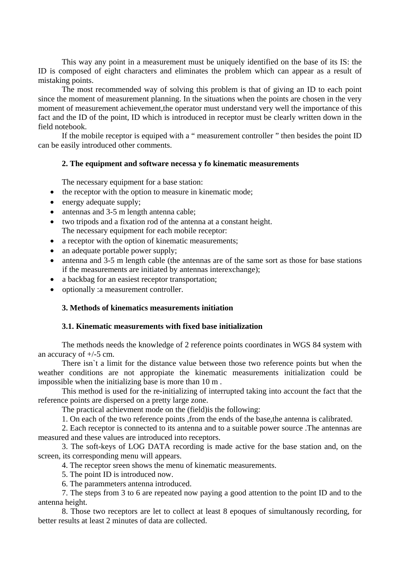This way any point in a measurement must be uniquely identified on the base of its IS: the ID is composed of eight characters and eliminates the problem which can appear as a result of mistaking points.

The most recommended way of solving this problem is that of giving an ID to each point since the moment of measurement planning. In the situations when the points are chosen in the very moment of measurement achievement, the operator must understand very well the importance of this fact and the ID of the point, ID which is introduced in receptor must be clearly written down in the field notebook.

If the mobile receptor is equiped with a " measurement controller " then besides the point ID can be easily introduced other comments.

## **2. The equipment and software necessa y fo kinematic measurements**

The necessary equipment for a base station:

- the receptor with the option to measure in kinematic mode;
- energy adequate supply;
- antennas and 3-5 m length antenna cable;
- two tripods and a fixation rod of the antenna at a constant height. The necessary equipment for each mobile receptor:
- a receptor with the option of kinematic measurements;
- an adequate portable power supply;
- antenna and 3-5 m length cable (the antennas are of the same sort as those for base stations if the measurements are initiated by antennas interexchange);
- a backbag for an easiest receptor transportation;
- optionally :a measurement controller.

## **3. Methods of kinematics measurements initiation**

## **3.1. Kinematic measurements with fixed base initialization**

The methods needs the knowledge of 2 reference points coordinates in WGS 84 system with an accuracy of +/-5 cm.

There isn`t a limit for the distance value between those two reference points but when the weather conditions are not appropiate the kinematic measurements initialization could be impossible when the initializing base is more than 10 m .

This method is used for the re-initializing of interrupted taking into account the fact that the reference points are dispersed on a pretty large zone.

The practical achievment mode on the (field)is the following:

1. On each of the two reference points ,from the ends of the base,the antenna is calibrated.

2. Each receptor is connected to its antenna and to a suitable power source .The antennas are measured and these values are introduced into receptors.

3. The soft-keys of LOG DATA recording is made active for the base station and, on the screen, its corresponding menu will appears.

4. The receptor sreen shows the menu of kinematic measurements.

5. The point ID is introduced now.

6. The parammeters antenna introduced.

7. The steps from 3 to 6 are repeated now paying a good attention to the point ID and to the antenna height.

8. Those two receptors are let to collect at least 8 epoques of simultanously recording, for better results at least 2 minutes of data are collected.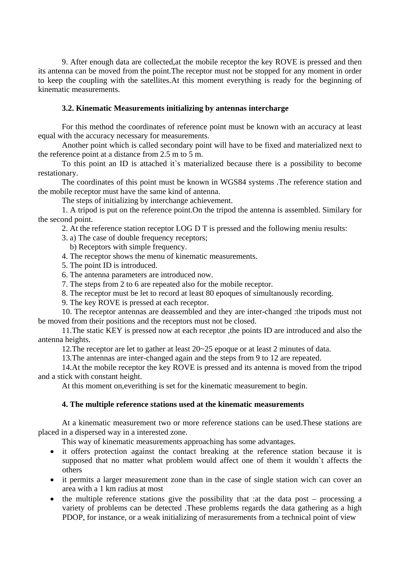9. After enough data are collected,at the mobile receptor the key ROVE is pressed and then its antenna can be moved from the point.The receptor must not be stopped for any moment in order to keep the coupling with the satellites.At this moment everything is ready for the beginning of kinematic measurements.

## **3.2. Kinematic Measurements initializing by antennas intercharge**

For this method the coordinates of reference point must be known with an accuracy at least equal with the accuracy necessary for measurements.

Another point which is called secondary point will have to be fixed and materialized next to the reference point at a distance from 2.5 m to 5 m.

To this point an ID is attached it`s materialized because there is a possibility to become restationary.

The coordinates of this point must be known in WGS84 systems .The reference station and the mobile receptor must have the same kind of antenna.

The steps of initializing by interchange achievement.

1. A tripod is put on the reference point.On the tripod the antenna is assembled. Similary for the second point.

2. At the reference station receptor LOG D T is pressed and the following meniu results:

3. a) The case of double frequency receptors;

b) Receptors with simple frequency.

- 4. The receptor shows the menu of kinematic measurements.
- 5. The point ID is introduced.
- 6. The antenna parameters are introduced now.
- 7. The steps from 2 to 6 are repeated also for the mobile receptor.
- 8. The receptor must be let to record at least 80 epoques of simultanously recording.

9. The key ROVE is pressed at each receptor.

10. The receptor antennas are deassembled and they are inter-changed :the tripods must not be moved from their positions and the receptors must not be closed.

11.The static KEY is pressed now at each receptor ,the points ID are introduced and also the antenna heights.

12.The receptor are let to gather at least 20~25 epoque or at least 2 minutes of data.

13.The antennas are inter-changed again and the steps from 9 to 12 are repeated.

14.At the mobile receptor the key ROVE is pressed and its antenna is moved from the tripod and a stick with constant height.

At this moment on,everithing is set for the kinematic measurement to begin.

#### **4. The multiple reference stations used at the kinematic measurements**

At a kinematic measurement two or more reference stations can be used.These stations are placed in a dispersed way in a interested zone.

This way of kinematic measurements approaching has some advantages.

- it offers protection against the contact breaking at the reference station because it is supposed that no matter what problem would affect one of them it wouldn`t affects the others
- it permits a larger measurement zone than in the case of single station wich can cover an area with a 1 km radius at most
- the multiple reference stations give the possibility that :at the data post processing a variety of problems can be detected .These problems regards the data gathering as a high PDOP, for instance, or a weak initializing of merasurements from a technical point of view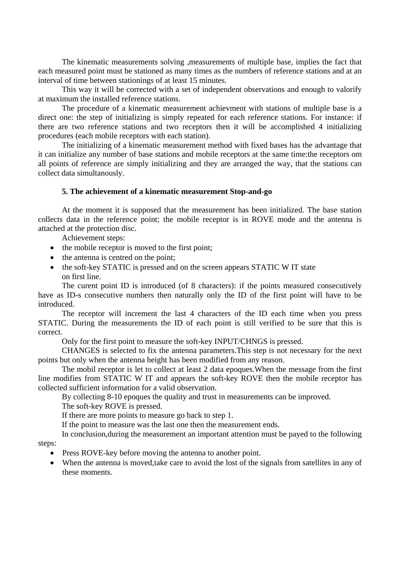The kinematic measurements solving ,measurements of multiple base, implies the fact that each measured point must be stationed as many times as the numbers of reference stations and at an interval of time between stationings of at least 15 minutes.

This way it will be corrected with a set of independent observations and enough to valorify at maximum the installed reference stations.

The procedure of a kinematic measurement achievment with stations of multiple base is a direct one: the step of initializing is simply repeated for each reference stations. For instance: if there are two reference stations and two receptors then it will be accomplished 4 initializing procedures (each mobile receptors with each station).

The initializing of a kinematic measurement method with fixed bases has the advantage that it can initialize any number of base stations and mobile receptors at the same time:the receptors om all points of reference are simply initializing and they are arranged the way, that the stations can collect data simultanously.

#### **5. The achievement of a kinematic measurement Stop-and-go**

At the moment it is supposed that the measurement has been initialized. The base station collects data in the reference point; the mobile receptor is in ROVE mode and the antenna is attached at the protection disc.

Achievement steps:

- the mobile receptor is moved to the first point:
- the antenna is centred on the point;
- the soft-key STATIC is pressed and on the screen appears STATIC W IT state on first line.

The curent point ID is introduced (of 8 characters): if the points measured consecutively have as ID-s consecutive numbers then naturally only the ID of the first point will have to be introduced.

The receptor will increment the last 4 characters of the ID each time when you press STATIC. During the measurements the ID of each point is still verified to be sure that this is correct.

Only for the first point to measure the soft-key INPUT/CHNGS is pressed.

CHANGES is selected to fix the antenna parameters.This step is not necessary for the next points but only when the antenna height has been modified from any reason.

The mobil receptor is let to collect at least 2 data epoques.When the message from the first line modifies from STATIC W IT and appears the soft-key ROVE then the mobile receptor has collected sufficient information for a valid observation.

By collecting 8-10 epoques the quality and trust in measurements can be improved.

The soft-key ROVE is pressed.

If there are more points to measure go back to step 1.

If the point to measure was the last one then the measurement ends.

In conclusion,during the measurement an important attention must be payed to the following steps:

- Press ROVE-key before moving the antenna to another point.
- When the antenna is moved, take care to avoid the lost of the signals from satellites in any of these moments.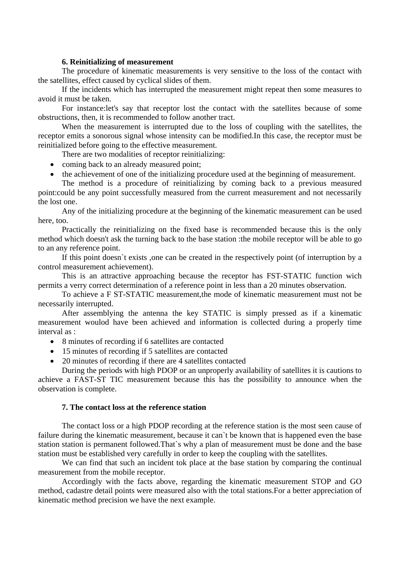## **6. Reinitializing of measurement**

The procedure of kinematic measurements is very sensitive to the loss of the contact with the satellites, effect caused by cyclical slides of them.

If the incidents which has interrupted the measurement might repeat then some measures to avoid it must be taken.

For instance:let's say that receptor lost the contact with the satellites because of some obstructions, then, it is recommended to follow another tract.

When the measurement is interrupted due to the loss of coupling with the satellites, the receptor emits a sonorous signal whose intensity can be modified.In this case, the receptor must be reinitialized before going to the effective measurement.

There are two modalities of receptor reinitializing:

- coming back to an already measured point;
- the achievement of one of the initializing procedure used at the beginning of measurement.

The method is a procedure of reinitializing by coming back to a previous measured point:could be any point successfully measured from the current measurement and not necessarily the lost one.

Any of the initializing procedure at the beginning of the kinematic measurement can be used here, too.

Practically the reinitializing on the fixed base is recommended because this is the only method which doesn't ask the turning back to the base station :the mobile receptor will be able to go to an any reference point.

If this point doesn`t exists ,one can be created in the respectively point (of interruption by a control measurement achievement).

This is an attractive approaching because the receptor has FST-STATIC function wich permits a verry correct determination of a reference point in less than a 20 minutes observation.

To achieve a F ST-STATIC measurement,the mode of kinematic measurement must not be necessarily interrupted.

After assemblying the antenna the key STATIC is simply pressed as if a kinematic measurement woulod have been achieved and information is collected during a properly time interval as :

- 8 minutes of recording if 6 satellites are contacted
- 15 minutes of recording if 5 satellites are contacted
- 20 minutes of recording if there are 4 satellites contacted

During the periods with high PDOP or an unproperly availability of satellites it is cautions to achieve a FAST-ST TIC measurement because this has the possibility to announce when the observation is complete.

## **7. The contact loss at the reference station**

The contact loss or a high PDOP recording at the reference station is the most seen cause of failure during the kinematic measurement, because it can`t be known that is happened even the base station station is permanent followed.That`s why a plan of measurement must be done and the base station must be established very carefully in order to keep the coupling with the satellites.

We can find that such an incident tok place at the base station by comparing the continual measurement from the mobile receptor.

Accordingly with the facts above, regarding the kinematic measurement STOP and GO method, cadastre detail points were measured also with the total stations.For a better appreciation of kinematic method precision we have the next example.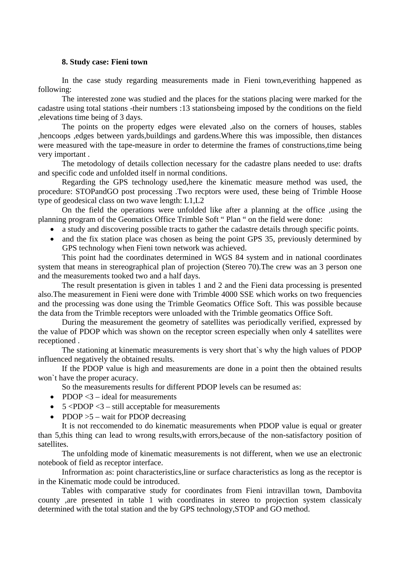#### **8. Study case: Fieni town**

In the case study regarding measurements made in Fieni town,everithing happened as following:

The interested zone was studied and the places for the stations placing were marked for the cadastre using total stations -their numbers :13 stationsbeing imposed by the conditions on the field ,elevations time being of 3 days.

The points on the property edges were elevated ,also on the corners of houses, stables ,hencoops ,edges between yards,buildings and gardens.Where this was impossible, then distances were measured with the tape-measure in order to determine the frames of constructions,time being very important .

The metodology of details collection necessary for the cadastre plans needed to use: drafts and specific code and unfolded itself in normal conditions.

Regarding the GPS technology used,here the kinematic measure method was used, the procedure: STOPandGO post processing .Two recptors were used, these being of Trimble Hoose type of geodesical class on two wave length: L1,L2

On the field the operations were unfolded like after a planning at the office ,using the planning program of the Geomatics Office Trimble Soft " Plan " on the field were done:

- a study and discovering possible tracts to gather the cadastre details through specific points.
- and the fix station place was chosen as being the point GPS 35, previously determined by GPS technology when Fieni town network was achieved.

This point had the coordinates determined in WGS 84 system and in national coordinates system that means in stereographical plan of projection (Stereo 70).The crew was an 3 person one and the measurements tooked two and a half days.

The result presentation is given in tables 1 and 2 and the Fieni data processing is presented also.The measurement in Fieni were done with Trimble 4000 SSE which works on two frequencies and the processing was done using the Trimble Geomatics Office Soft. This was possible because the data from the Trimble receptors were unloaded with the Trimble geomatics Office Soft.

During the measurement the geometry of satellites was periodically verified, expressed by the value of PDOP which was shown on the receptor screen especially when only 4 satellites were receptioned .

The stationing at kinematic measurements is very short that`s why the high values of PDOP influenced negatively the obtained results.

If the PDOP value is high and measurements are done in a point then the obtained results won`t have the proper acuracy.

So the measurements results for different PDOP levels can be resumed as:

- PDOP  $<$ 3 ideal for measurements
- $5 < PDOP < 3 still acceptable for measurements$
- PDOP  $>5$  wait for PDOP decreasing

It is not reccomended to do kinematic measurements when PDOP value is equal or greater than 5,this thing can lead to wrong results,with errors,because of the non-satisfactory position of satellites.

The unfolding mode of kinematic measurements is not different, when we use an electronic notebook of field as receptor interface.

Infrormation as: point characteristics,line or surface characteristics as long as the receptor is in the Kinematic mode could be introduced.

Tables with comparative study for coordinates from Fieni intravillan town, Dambovita county ,are presented in table 1 with coordinates in stereo to projection system classicaly determined with the total station and the by GPS technology,STOP and GO method.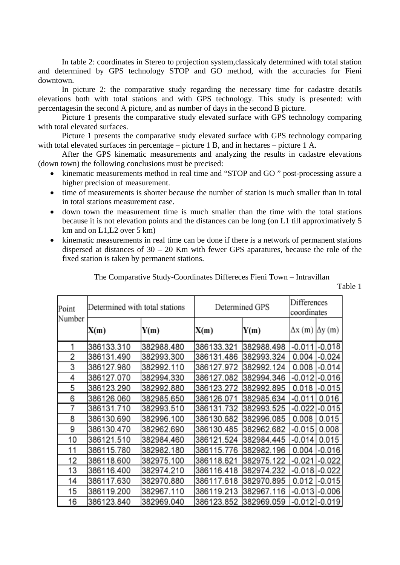In table 2: coordinates in Stereo to projection system,classicaly determined with total station and determined by GPS technology STOP and GO method, with the accuracies for Fieni downtown.

In picture 2: the comparative study regarding the necessary time for cadastre detatils elevations both with total stations and with GPS technology. This study is presented: with percentagesin the second A picture, and as number of days in the second B picture.

Picture 1 presents the comparative study elevated surface with GPS technology comparing with total elevated surfaces.

Picture 1 presents the comparative study elevated surface with GPS technology comparing with total elevated surfaces :in percentage – picture 1 B, and in hectares – picture 1 A.

After the GPS kinematic measurements and analyzing the results in cadastre elevations (down town) the following conclusions must be precised:

- kinematic measurements method in real time and "STOP and GO " post-processing assure a higher precision of measurement.
- time of measurements is shorter because the number of station is much smaller than in total in total stations measurement case.
- down town the measurement time is much smaller than the time with the total stations because it is not elevation points and the distances can be long (on L1 till approximatively 5 km and on L1,L2 over 5 km)
- kinematic measurements in real time can be done if there is a network of permanent stations dispersed at distances of 30 – 20 Km with fewer GPS aparatures, because the role of the fixed station is taken by permanent stations.

The Comparative Study-Coordinates Differeces Fieni Town – Intravillan

| Point<br>Number | Determined with total stations |            | Determined GPS | Differences<br>coordinates |                               |          |
|-----------------|--------------------------------|------------|----------------|----------------------------|-------------------------------|----------|
|                 | X(m)                           | Y(m)       | X(m)           | Y(m)                       | $\Delta x$ (m) $\Delta y$ (m) |          |
|                 | 386133.310                     | 382988.480 | 386133.321     | 382988.498                 | $-0.011$                      | $-0.018$ |
| 2               | 386131.490                     | 382993.300 | 386131.486     | 382993.324                 | 0.004                         | $-0.024$ |
| 3               | 386127.980                     | 382992.110 | 386127.972     | 382992.124                 | 0.008                         | $-0.014$ |
| 4               | 386127.070                     | 382994.330 | 386127.082     | 382994.346                 | $-0.012$                      | $-0.016$ |
| 5               | 386123.290                     | 382992.880 | 386123.272     | 382992.895                 | 0.018                         | $-0.015$ |
| 6               | 386126.060                     | 382985.650 | 386126.071     | 382985.634                 | $-0.011$                      | 0.016    |
| 7               | 386131.710                     | 382993.510 | 386131.732     | 382993.525                 | $-0.022$                      | $-0.015$ |
| 8               | 386130.690                     | 382996.100 | 386130.682     | 382996.085                 | 0.008                         | 0.015    |
| 9               | 386130.470                     | 382962.690 | 386130.485     | 382962.682                 | $-0.015$                      | 0.008    |
| 10              | 386121.510                     | 382984.460 | 386121.524     | 382984.445                 | $-0.014$                      | 0.015    |
| 11              | 386115.780                     | 382982.180 | 386115.776     | 382982.196                 | 0.004                         | $-0.016$ |
| 12              | 386118.600                     | 382975.100 | 386118.621     | 382975.122                 | $-0.021$                      | $-0.022$ |
| 13              | 386116.400                     | 382974.210 | 386116.418     | 382974.232                 | $-0.018$                      | $-0.022$ |
| 14              | 386117.630                     | 382970.880 | 386117.618     | 382970.895                 | 0.012                         | $-0.015$ |
| 15              | 386119.200                     | 382967.110 | 386119.213     | 382967.116                 | $-0.013$                      | $-0.006$ |
| 16              | 386123.840                     | 382969.040 | 386123.852     | 382969.059                 | $-0.012$                      | $-0.019$ |

Table 1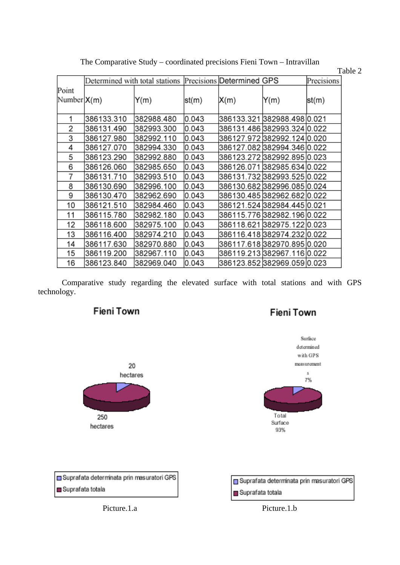|               | Determined with total stations Precisions Determined GPS |            |       |      |                             | Precisions |
|---------------|----------------------------------------------------------|------------|-------|------|-----------------------------|------------|
| Point         |                                                          |            |       |      |                             |            |
| Number $X(m)$ |                                                          | Y(m)       | st(m) | X(m) | Y(m)                        | st(m)      |
|               |                                                          |            |       |      |                             |            |
|               | 386133.310                                               | 382988.480 | 0.043 |      | 386133.321 382988.498 0.021 |            |
| 2             | 386131.490                                               | 382993.300 | 0.043 |      | 386131.486 382993.324 0.022 |            |
| 3             | 386127.980                                               | 382992.110 | 0.043 |      | 386127.972 382992.124 0.020 |            |
| 4             | 386127.070                                               | 382994.330 | 0.043 |      | 386127.082 382994.346 0.022 |            |
| 5             | 386123.290                                               | 382992.880 | 0.043 |      | 386123.272 382992.895 0.023 |            |
| 6             | 386126.060                                               | 382985.650 | 0.043 |      | 386126.071 382985.634 0.022 |            |
| 7             | 386131.710                                               | 382993.510 | 0.043 |      | 386131.732 382993.525 0.022 |            |
| 8             | 386130.690                                               | 382996.100 | 0.043 |      | 386130.682 382996.085 0.024 |            |
| 9             | 386130.470                                               | 382962.690 | 0.043 |      | 386130.485 382962.682 0.022 |            |
| 10            | 386121.510                                               | 382984.460 | 0.043 |      | 386121.524 382984.445 0.021 |            |
| 11            | 386115.780                                               | 382982.180 | 0.043 |      | 386115.776 382982.196 0.022 |            |
| 12            | 386118.600                                               | 382975.100 | 0.043 |      | 386118.621 382975.122 0.023 |            |
| 13            | 386116.400                                               | 382974.210 | 0.043 |      | 386116.418 382974.232 0.022 |            |
| 14            | 386117.630                                               | 382970.880 | 0.043 |      | 386117.618 382970.895 0.020 |            |
| 15            | 386119.200                                               | 382967.110 | 0.043 |      | 386119.213 382967.116 0.022 |            |
| 16            | 386123.840                                               | 382969.040 | 0.043 |      | 386123.852 382969.059 0.023 |            |

The Comparative Study – coordinated precisions Fieni Town – Intravillan



Comparative study regarding the elevated surface with total stations and with GPS technology.

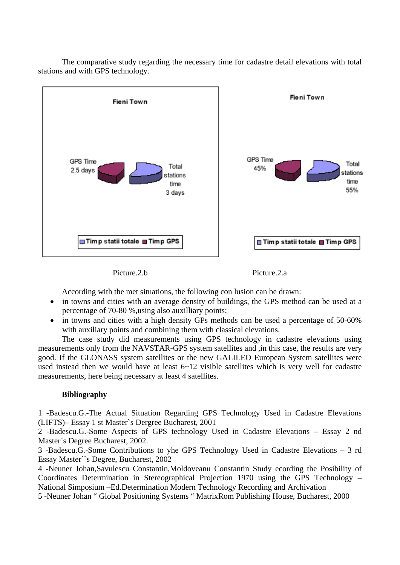

The comparative study regarding the necessary time for cadastre detail elevations with total stations and with GPS technology.

Picture.2.b Picture.2.a

According with the met situations, the following con lusion can be drawn:

- in towns and cities with an average density of buildings, the GPS method can be used at a percentage of 70-80 %,using also auxilliary points;
- in towns and cities with a high density GPs methods can be used a percentage of 50-60% with auxiliary points and combining them with classical elevations.

The case study did measurements using GPS technology in cadastre elevations using measurements only from the NAVSTAR-GPS system satellites and ,in this case, the results are very good. If the GLONASS system satellites or the new GALILEO European System satellites were used instead then we would have at least  $6\neg 12$  visible satellites which is very well for cadastre measurements, here being necessary at least 4 satellites.

## **Bibliography**

1 -Badescu.G.-The Actual Situation Regarding GPS Technology Used in Cadastre Elevations (LIFTS)– Essay 1 st Master`s Dergree Bucharest, 2001

2 -Badescu.G.-Some Aspects of GPS technology Used in Cadastre Elevations – Essay 2 nd Master`s Degree Bucharest, 2002.

3 -Badescu.G.-Some Contributions to yhe GPS Technology Used in Cadastre Elevations – 3 rd Essay Master``s Degree, Bucharest, 2002

4 -Neuner Johan,Savulescu Constantin,Moldoveanu Constantin Study ecording the Posibility of Coordinates Determination in Stereographical Projection 1970 using the GPS Technology – National Simposium –Ed.Determination Modern Technology Recording and Archivation

5 -Neuner Johan " Global Positioning Systems " MatrixRom Publishing House, Bucharest, 2000